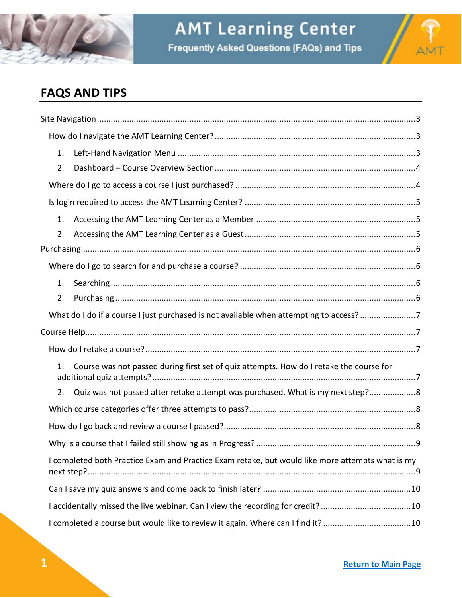



# <span id="page-0-0"></span>**FAQS AND TIPS**

| 1. |                                                                                                  |
|----|--------------------------------------------------------------------------------------------------|
| 2. |                                                                                                  |
|    |                                                                                                  |
|    |                                                                                                  |
| 1. |                                                                                                  |
| 2. |                                                                                                  |
|    |                                                                                                  |
|    |                                                                                                  |
| 1. |                                                                                                  |
| 2. |                                                                                                  |
|    | What do I do if a course I just purchased is not available when attempting to access?7           |
|    |                                                                                                  |
|    |                                                                                                  |
| 1. | Course was not passed during first set of quiz attempts. How do I retake the course for          |
| 2. | Quiz was not passed after retake attempt was purchased. What is my next step? 8                  |
|    |                                                                                                  |
|    |                                                                                                  |
|    |                                                                                                  |
|    | I completed both Practice Exam and Practice Exam retake, but would like more attempts what is my |
|    |                                                                                                  |
|    | I accidentally missed the live webinar. Can I view the recording for credit? 10                  |
|    | I completed a course but would like to review it again. Where can I find it?10                   |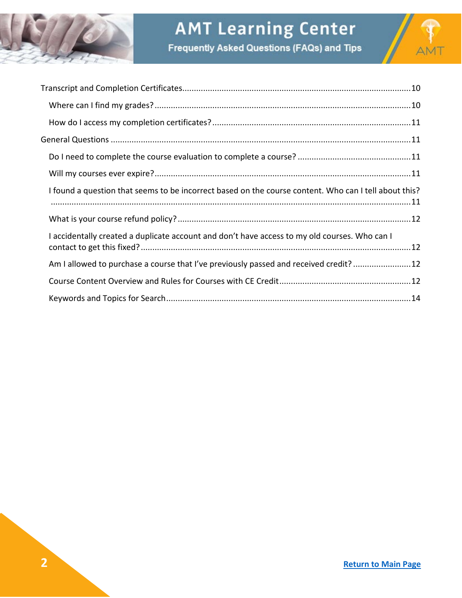

# **AMT Learning Center**





| I found a question that seems to be incorrect based on the course content. Who can I tell about this? |
|-------------------------------------------------------------------------------------------------------|
|                                                                                                       |
| I accidentally created a duplicate account and don't have access to my old courses. Who can I         |
| Am I allowed to purchase a course that I've previously passed and received credit?12                  |
|                                                                                                       |
|                                                                                                       |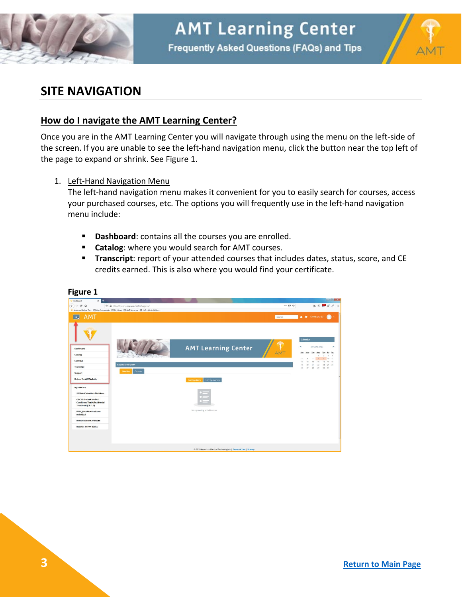



# <span id="page-2-0"></span>**SITE NAVIGATION**

#### <span id="page-2-1"></span>**How do I navigate the AMT Learning Center?**

Once you are in the AMT Learning Center you will navigate through using the menu on the left-side of the screen. If you are unable to see the left-hand navigation menu, click the button near the top left of the page to expand or shrink. See Figure 1.

<span id="page-2-2"></span>1. Left-Hand Navigation Menu

The left-hand navigation menu makes it convenient for you to easily search for courses, access your purchased courses, etc. The options you will frequently use in the left-hand navigation menu include:

- **Dashboard:** contains all the courses you are enrolled.
- **Catalog**: where you would search for AMT courses.
- **Transcript**: report of your attended courses that includes dates, status, score, and CE credits earned. This is also where you would find your certificate.



#### **Figure 1**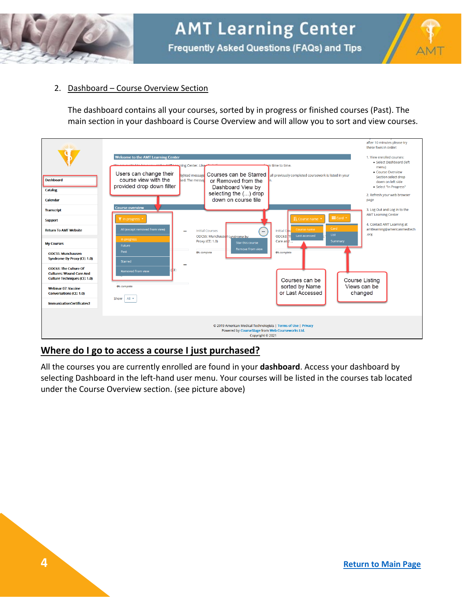



#### <span id="page-3-0"></span>2. Dashboard – Course Overview Section

The dashboard contains all your courses, sorted by in progress or finished courses (Past). The main section in your dashboard is Course Overview and will allow you to sort and view courses.



## <span id="page-3-1"></span>**Where do I go to access a course I just purchased?**

All the courses you are currently enrolled are found in your **dashboard**. Access your dashboard by selecting Dashboard in the left-hand user menu. Your courses will be listed in the courses tab located under the Course Overview section. (see picture above)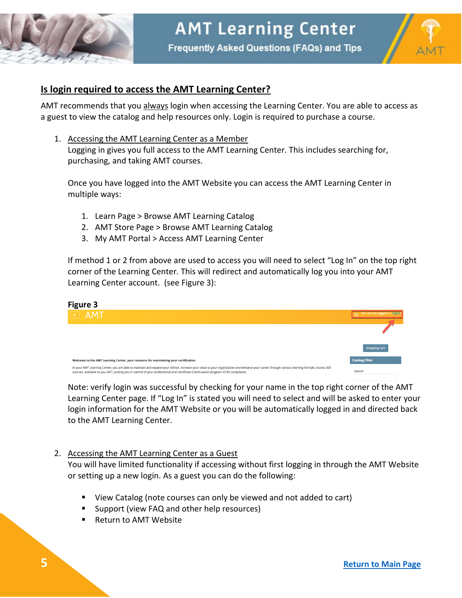



## <span id="page-4-0"></span>**Is login required to access the AMT Learning Center?**

AMT recommends that you always login when accessing the Learning Center. You are able to access as a guest to view the catalog and help resources only. Login is required to purchase a course.

<span id="page-4-1"></span>1. Accessing the AMT Learning Center as a Member Logging in gives you full access to the AMT Learning Center. This includes searching for, purchasing, and taking AMT courses.

Once you have logged into the AMT Website you can access the AMT Learning Center in multiple ways:

- 1. Learn Page > Browse AMT Learning Catalog
- 2. AMT Store Page > Browse AMT Learning Catalog
- 3. My AMT Portal > Access AMT Learning Center

If method 1 or 2 from above are used to access you will need to select "Log In" on the top right corner of the Learning Center. This will redirect and automatically log you into your AMT Learning Center account. (see Figure 3):

| <b>Figure 3</b>                                                                                                                                                                                                                                                                                                                     |                                   |
|-------------------------------------------------------------------------------------------------------------------------------------------------------------------------------------------------------------------------------------------------------------------------------------------------------------------------------------|-----------------------------------|
| $F = AMT$                                                                                                                                                                                                                                                                                                                           | o You are not logged in. (Log in) |
|                                                                                                                                                                                                                                                                                                                                     |                                   |
|                                                                                                                                                                                                                                                                                                                                     | <b>Shopping Cart</b>              |
| Welcome to the AMT Learning Center, your resource for maintaining your certification.                                                                                                                                                                                                                                               | <b>Catalog Filter</b>             |
| In your AMT Learning Center, you are able to maintain and expand your skillset, increase your value to your organization and enhance your career through various learning formats. Access 300<br>courses, available to you 24/7, putting you in control of your professional and Certificate Continuation program (CCP) compliance. | Search                            |

Note: verify login was successful by checking for your name in the top right corner of the AMT Learning Center page. If "Log In" is stated you will need to select and will be asked to enter your login information for the AMT Website or you will be automatically logged in and directed back to the AMT Learning Center.

#### <span id="page-4-2"></span>2. Accessing the AMT Learning Center as a Guest

You will have limited functionality if accessing without first logging in through the AMT Website or setting up a new login. As a guest you can do the following:

- **UI** View Catalog (note courses can only be viewed and not added to cart)
- **Support (view FAQ and other help resources)**
- Return to AMT Website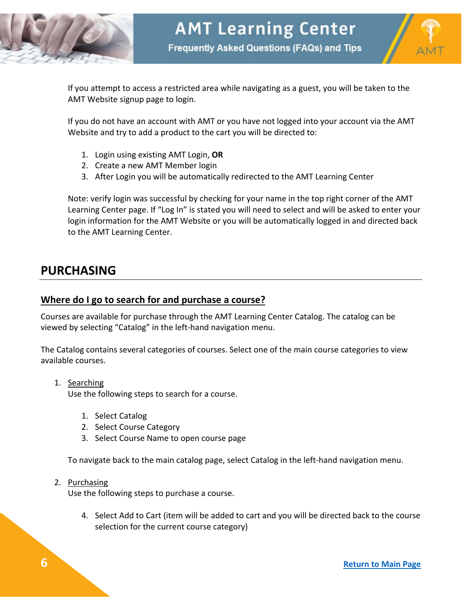



If you attempt to access a restricted area while navigating as a guest, you will be taken to the AMT Website signup page to login.

If you do not have an account with AMT or you have not logged into your account via the AMT Website and try to add a product to the cart you will be directed to:

- 1. Login using existing AMT Login, **OR**
- 2. Create a new AMT Member login
- 3. After Login you will be automatically redirected to the AMT Learning Center

Note: verify login was successful by checking for your name in the top right corner of the AMT Learning Center page. If "Log In" is stated you will need to select and will be asked to enter your login information for the AMT Website or you will be automatically logged in and directed back to the AMT Learning Center.

# <span id="page-5-0"></span>**PURCHASING**

#### <span id="page-5-1"></span>**Where do I go to search for and purchase a course?**

Courses are available for purchase through the AMT Learning Center Catalog. The catalog can be viewed by selecting "Catalog" in the left-hand navigation menu.

The Catalog contains several categories of courses. Select one of the main course categories to view available courses.

<span id="page-5-2"></span>1. Searching

Use the following steps to search for a course.

- 1. Select Catalog
- 2. Select Course Category
- 3. Select Course Name to open course page

To navigate back to the main catalog page, select Catalog in the left-hand navigation menu.

<span id="page-5-3"></span>2. Purchasing

Use the following steps to purchase a course.

4. Select Add to Cart (item will be added to cart and you will be directed back to the course selection for the current course category)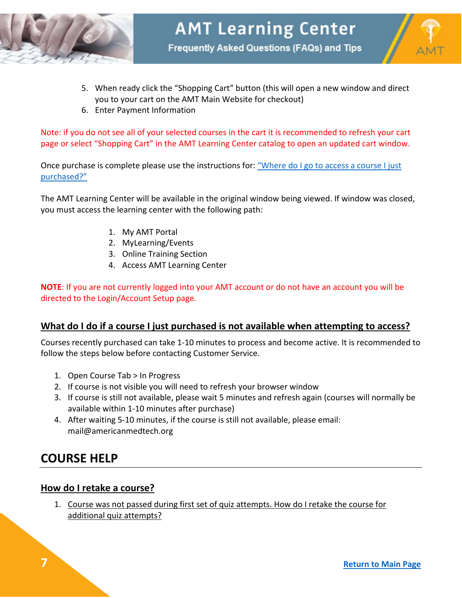



- 5. When ready click the "Shopping Cart" button (this will open a new window and direct you to your cart on the AMT Main Website for checkout)
- 6. Enter Payment Information

Note: if you do not see all of your selected courses in the cart it is recommended to refresh your cart page or select "Shopping Cart" in the AMT Learning Center catalog to open an updated cart window.

Once purchase is complete please use the instructions for: "Where do I go to access a course I just [purchased?"](#page-3-1)

The AMT Learning Center will be available in the original window being viewed. If window was closed, you must access the learning center with the following path:

- 1. My AMT Portal
- 2. MyLearning/Events
- 3. Online Training Section
- 4. Access AMT Learning Center

**NOTE**: If you are not currently logged into your AMT account or do not have an account you will be directed to the Login/Account Setup page.

## <span id="page-6-0"></span>**What do I do if a course I just purchased is not available when attempting to access?**

Courses recently purchased can take 1-10 minutes to process and become active. It is recommended to follow the steps below before contacting Customer Service.

- 1. Open Course Tab > In Progress
- 2. If course is not visible you will need to refresh your browser window
- 3. If course is still not available, please wait 5 minutes and refresh again (courses will normally be available within 1-10 minutes after purchase)
- 4. After waiting 5-10 minutes, if the course is still not available, please email: mail@americanmedtech.org

# <span id="page-6-1"></span>**COURSE HELP**

## <span id="page-6-2"></span>**How do I retake a course?**

<span id="page-6-3"></span>1. Course was not passed during first set of quiz attempts. How do I retake the course for additional quiz attempts?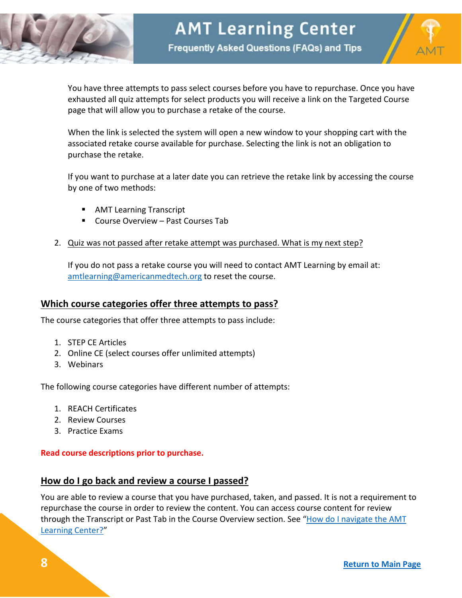



You have three attempts to pass select courses before you have to repurchase. Once you have exhausted all quiz attempts for select products you will receive a link on the Targeted Course page that will allow you to purchase a retake of the course.

When the link is selected the system will open a new window to your shopping cart with the associated retake course available for purchase. Selecting the link is not an obligation to purchase the retake.

If you want to purchase at a later date you can retrieve the retake link by accessing the course by one of two methods:

- **AMT Learning Transcript**
- Course Overview Past Courses Tab
- <span id="page-7-0"></span>2. Quiz was not passed after retake attempt was purchased. What is my next step?

If you do not pass a retake course you will need to contact AMT Learning by email at: [amtlearning@americanmedtech.org](mailto:amtlearning@americanmedtech.org) to reset the course.

#### <span id="page-7-1"></span>**Which course categories offer three attempts to pass?**

The course categories that offer three attempts to pass include:

- 1. STEP CE Articles
- 2. Online CE (select courses offer unlimited attempts)
- 3. Webinars

The following course categories have different number of attempts:

- 1. REACH Certificates
- 2. Review Courses
- 3. Practice Exams

#### **Read course descriptions prior to purchase.**

#### <span id="page-7-2"></span>**How do I go back and review a course I passed?**

You are able to review a course that you have purchased, taken, and passed. It is not a requirement to repurchase the course in order to review the content. You can access course content for review through the Transcript or Past Tab in the Course Overview section. See "How do I navigate the AMT [Learning Center?"](#page-2-1)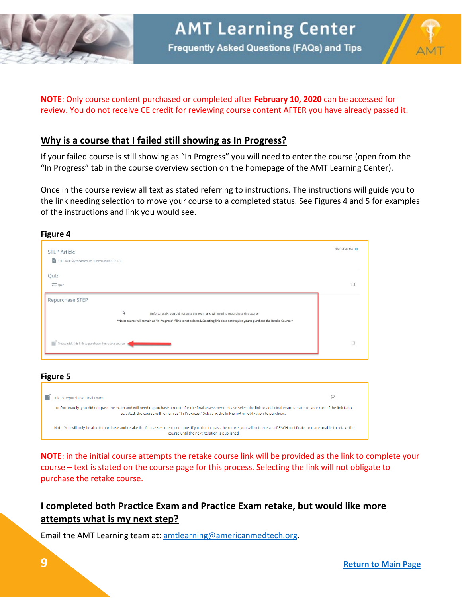



#### **NOTE**: Only course content purchased or completed after **February 10, 2020** can be accessed for review. You do not receive CE credit for reviewing course content AFTER you have already passed it.

#### <span id="page-8-0"></span>**Why is a course that I failed still showing as In Progress?**

If your failed course is still showing as "In Progress" you will need to enter the course (open from the "In Progress" tab in the course overview section on the homepage of the AMT Learning Center).

Once in the course review all text as stated referring to instructions. The instructions will guide you to the link needing selection to move your course to a completed status. See Figures 4 and 5 for examples of the instructions and link you would see.

| rigure 4                                                                                                                                |                 |
|-----------------------------------------------------------------------------------------------------------------------------------------|-----------------|
| <b>STEP Article</b>                                                                                                                     | Your progress @ |
| $\vec{w}$ STEP 470: Mycobacterium Tuberculosis (CE: 1.0)                                                                                |                 |
| Quiz                                                                                                                                    |                 |
| $\stackrel{\ast}{\mathsf{m}}$ Quiz                                                                                                      | n               |
| Repurchase STEP                                                                                                                         |                 |
| $\mathbb{Q}$<br>Unfortunately, you did not pass the exam and will need to repurchase this course.                                       |                 |
| *Note: course will remain as "In Progress" if link is not selected. Selecting link does not require you to purchase the Retake Course.* |                 |
| Please click this link to purchase the retake course                                                                                    | O               |
|                                                                                                                                         |                 |
|                                                                                                                                         |                 |

#### **Figure 5**

**Figure 4**

| Link to Repurchase Final Exam                                                                                                                                                                                                                                                                       | M |  |  |
|-----------------------------------------------------------------------------------------------------------------------------------------------------------------------------------------------------------------------------------------------------------------------------------------------------|---|--|--|
| Unfortunately, you did not pass the exam and will need to purchase a retake for the final assessment. Please select the link to add 'Final Exam Retake' to your cart. If the link is not<br>selected, the course will remain as "In Progress," Selecting the link is not an obligation to purchase. |   |  |  |
| Note: You will only be able to purchase and retake the final assessment one time. If you do not pass the retake, you will not receive a REACH certificate, and are unable to retake the<br>course until the next iteration is published.                                                            |   |  |  |

**NOTE**: in the initial course attempts the retake course link will be provided as the link to complete your course – text is stated on the course page for this process. Selecting the link will not obligate to purchase the retake course.

# <span id="page-8-1"></span>**I completed both Practice Exam and Practice Exam retake, but would like more attempts what is my next step?**

Email the AMT Learning team at: [amtlearning@americanmedtech.org.](mailto:amtlearning@americanmedtech.org)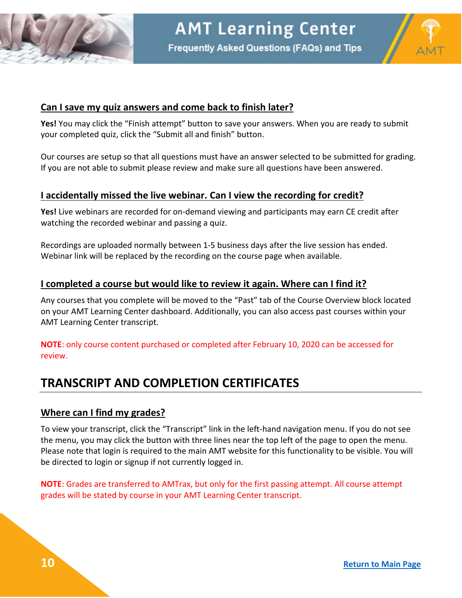



#### <span id="page-9-0"></span>**Can I save my quiz answers and come back to finish later?**

**Yes!** You may click the "Finish attempt" button to save your answers. When you are ready to submit your completed quiz, click the "Submit all and finish" button.

Our courses are setup so that all questions must have an answer selected to be submitted for grading. If you are not able to submit please review and make sure all questions have been answered.

## <span id="page-9-1"></span>**I accidentally missed the live webinar. Can I view the recording for credit?**

**Yes!** Live webinars are recorded for on-demand viewing and participants may earn CE credit after watching the recorded webinar and passing a quiz.

Recordings are uploaded normally between 1-5 business days after the live session has ended. Webinar link will be replaced by the recording on the course page when available.

#### <span id="page-9-2"></span>**I completed a course but would like to review it again. Where can I find it?**

Any courses that you complete will be moved to the "Past" tab of the Course Overview block located on your AMT Learning Center dashboard. Additionally, you can also access past courses within your AMT Learning Center transcript.

**NOTE**: only course content purchased or completed after February 10, 2020 can be accessed for review.

# <span id="page-9-3"></span>**TRANSCRIPT AND COMPLETION CERTIFICATES**

#### <span id="page-9-4"></span>**Where can I find my grades?**

To view your transcript, click the "Transcript" link in the left-hand navigation menu. If you do not see the menu, you may click the button with three lines near the top left of the page to open the menu. Please note that login is required to the main AMT website for this functionality to be visible. You will be directed to login or signup if not currently logged in.

<span id="page-9-5"></span>**NOTE**: Grades are transferred to AMTrax, but only for the first passing attempt. All course attempt grades will be stated by course in your AMT Learning Center transcript.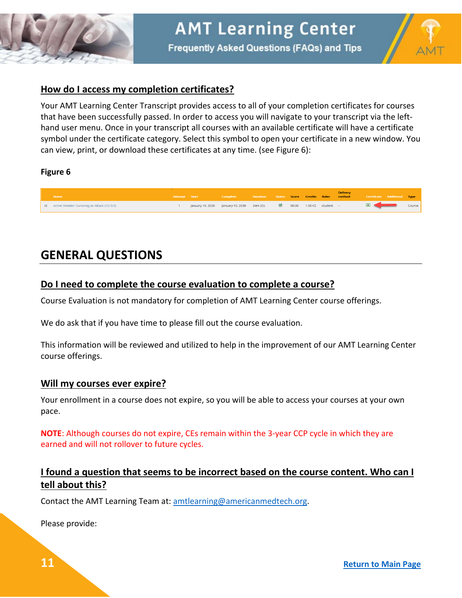



## **How do I access my completion certificates?**

Your AMT Learning Center Transcript provides access to all of your completion certificates for courses that have been successfully passed. In order to access you will navigate to your transcript via the lefthand user menu. Once in your transcript all courses with an available certificate will have a certificate symbol under the certificate category. Select this symbol to open your certificate in a new window. You can view, print, or download these certificates at any time. (see Figure 6):

#### **Figure 6**



# <span id="page-10-0"></span>**GENERAL QUESTIONS**

#### <span id="page-10-1"></span>**Do I need to complete the course evaluation to complete a course?**

Course Evaluation is not mandatory for completion of AMT Learning Center course offerings.

We do ask that if you have time to please fill out the course evaluation.

This information will be reviewed and utilized to help in the improvement of our AMT Learning Center course offerings.

#### <span id="page-10-2"></span>**Will my courses ever expire?**

Your enrollment in a course does not expire, so you will be able to access your courses at your own pace.

**NOTE**: Although courses do not expire, CEs remain within the 3-year CCP cycle in which they are earned and will not rollover to future cycles.

# <span id="page-10-3"></span>**I found a question that seems to be incorrect based on the course content. Who can I tell about this?**

Contact the AMT Learning Team at: [amtlearning@americanmedtech.org.](mailto:amtlearning@americanmedtech.org)

Please provide: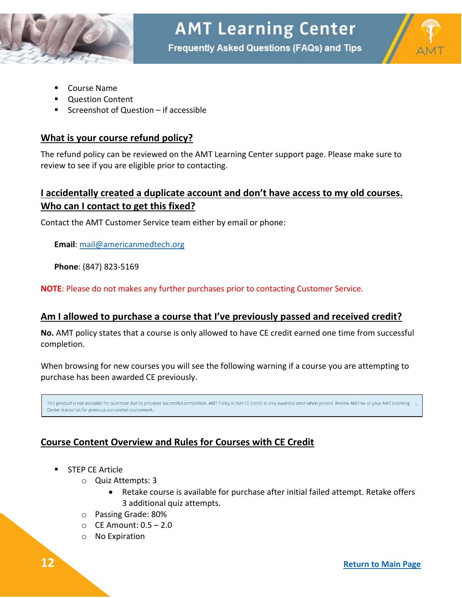



- Course Name
- Question Content
- Screenshot of Question if accessible

#### <span id="page-11-0"></span>**What is your course refund policy?**

The refund policy can be reviewed on the AMT Learning Center support page. Please make sure to review to see if you are eligible prior to contacting.

## <span id="page-11-1"></span>**I accidentally created a duplicate account and don't have access to my old courses. Who can I contact to get this fixed?**

Contact the AMT Customer Service team either by email or phone:

**Email**: [mail@americanmedtech.org](mailto:mail@americanmedtech.org)

**Phone**: (847) 823-5169

**NOTE**: Please do not makes any further purchases prior to contacting Customer Service.

#### <span id="page-11-2"></span>**Am I allowed to purchase a course that I've previously passed and received credit?**

**No.** AMT policy states that a course is only allowed to have CE credit earned one time from successful completion.

When browsing for new courses you will see the following warning if a course you are attempting to purchase has been awarded CE previously.

This product is not available for purchase due to previous successful completion. AMT Policy is that CE Credit is only awarded once when passed. Review AMTrax or your AMT Learning Center transcript for previous completed coursework.

## <span id="page-11-3"></span>**Course Content Overview and Rules for Courses with CE Credit**

- STEP CE Article
	- o Quiz Attempts: 3
		- Retake course is available for purchase after initial failed attempt. Retake offers 3 additional quiz attempts.
	- o Passing Grade: 80%
	- $\circ$  CE Amount:  $0.5 2.0$
	- o No Expiration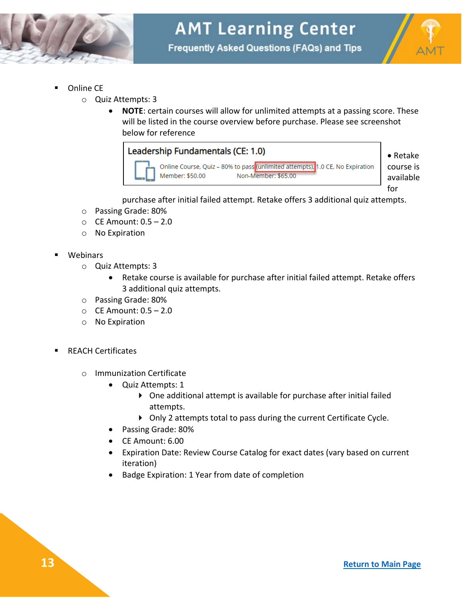



- Online CE
	- o Quiz Attempts: 3
		- **NOTE**: certain courses will allow for unlimited attempts at a passing score. These will be listed in the course overview before purchase. Please see screenshot below for reference



purchase after initial failed attempt. Retake offers 3 additional quiz attempts.

- o Passing Grade: 80%
- $\circ$  CE Amount:  $0.5 2.0$
- o No Expiration
- Webinars
	- o Quiz Attempts: 3
		- Retake course is available for purchase after initial failed attempt. Retake offers 3 additional quiz attempts.
	- o Passing Grade: 80%
	- o CE Amount: 0.5 2.0
	- o No Expiration
- REACH Certificates
	- o Immunization Certificate
		- Quiz Attempts: 1
			- One additional attempt is available for purchase after initial failed attempts.
			- Only 2 attempts total to pass during the current Certificate Cycle.
		- Passing Grade: 80%
		- CE Amount: 6.00
		- Expiration Date: Review Course Catalog for exact dates (vary based on current iteration)
		- Badge Expiration: 1 Year from date of completion